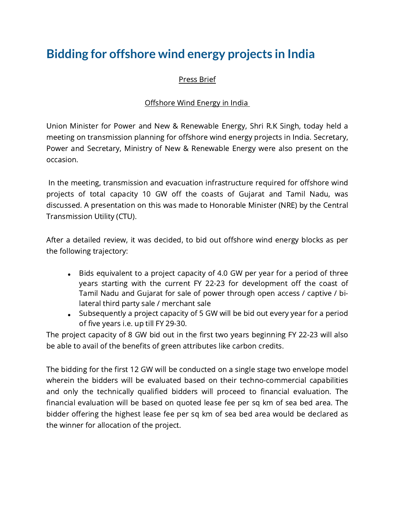## **Bidding for offshore wind energy projects in India**

## Press Brief

## Offshore Wind Energy in India

Union Minister for Power and New & Renewable Energy, Shri R.K Singh, today held a meeting on transmission planning for offshore wind energy projects in India. Secretary, Power and Secretary, Ministry of New & Renewable Energy were also present on the occasion.

In the meeting, transmission and evacuation infrastructure required for offshore wind projects of total capacity 10 GW off the coasts of Gujarat and Tamil Nadu, was discussed. A presentation on this was made to Honorable Minister (NRE) by the Central Transmission Utility (CTU).

After a detailed review, it was decided, to bid out offshore wind energy blocks as per the following trajectory:

- Bids equivalent to a project capacity of 4.0 GW per year for a period of three years starting with the current FY 22-23 for development off the coast of Tamil Nadu and Gujarat for sale of power through open access / captive / bilateral third party sale / merchant sale
- Subsequently a project capacity of 5 GW will be bid out every year for a period of five years i.e. up till FY 29-30.

The project capacity of 8 GW bid out in the first two years beginning FY 22-23 will also be able to avail of the benefits of green attributes like carbon credits.

The bidding for the first 12 GW will be conducted on a single stage two envelope model wherein the bidders will be evaluated based on their techno-commercial capabilities and only the technically qualified bidders will proceed to financial evaluation. The financial evaluation will be based on quoted lease fee per sq km of sea bed area. The bidder offering the highest lease fee per sq km of sea bed area would be declared as the winner for allocation of the project.